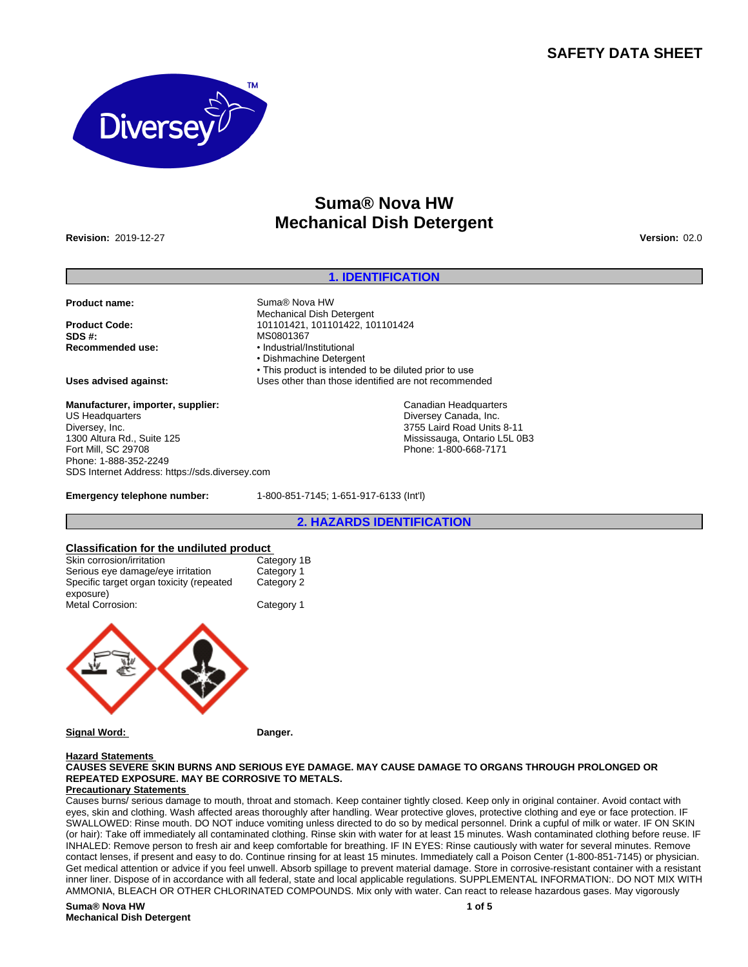## **SAFETY DATA SHEET**



## **Suma® Nova HW Mechanical Dish Detergent**

**Revision:** 2019-12-27 **Version:** 02.0

## **1. IDENTIFICATION**

**Product name:** Suma® Nova HW

**Product Code:** 101101421, 101101422, 101101424<br> **SDS #:** MS0801367 **SDS #:** MS0801367<br> **Recommended use:** Magnush MS0801367

**Manufacturer, importer, supplier:** US Headquarters Diversey, Inc. 1300 Altura Rd., Suite 125 Fort Mill, SC 29708 Phone: 1-888-352-2249 SDS Internet Address: https://sds.diversey.com

**Recommended use:** •Industrial/Institutional • Dishmachine Detergent • This product is intended to be diluted prior to use

Mechanical Dish Detergent

**Uses advised against:** Uses other than those identified are not recommended

Canadian Headquarters Diversey Canada, Inc. 3755 Laird Road Units 8-11 Mississauga, Ontario L5L 0B3 Phone: 1-800-668-7171

**Emergency telephone number:** 1-800-851-7145; 1-651-917-6133 (Int'l)

#### **2. HAZARDS IDENTIFICATION**

## **Classification for the undiluted product**

| Skin corrosion/irritation                | Category 1B |
|------------------------------------------|-------------|
| Serious eye damage/eye irritation        | Category 1  |
| Specific target organ toxicity (repeated | Category 2  |
| exposure)                                |             |
| <b>Metal Corrosion:</b>                  | Category 1  |
|                                          |             |
|                                          |             |



**Signal Word: Danger.**

**Hazard Statements** 

## **CAUSES SEVERE SKIN BURNS AND SERIOUS EYE DAMAGE. MAY CAUSE DAMAGE TO ORGANS THROUGH PROLONGED OR REPEATED EXPOSURE. MAY BE CORROSIVE TO METALS.**

#### **Precautionary Statements**

Causes burns/ serious damage to mouth, throat and stomach. Keep container tightly closed. Keep only in original container. Avoid contact with eyes, skin and clothing. Wash affected areas thoroughly after handling. Wear protective gloves, protective clothing and eye or face protection. IF SWALLOWED: Rinse mouth. DO NOT induce vomiting unless directed to do so by medical personnel. Drink a cupful of milk or water. IF ON SKIN (or hair): Take off immediately all contaminated clothing. Rinse skin with water for at least 15 minutes. Wash contaminated clothing before reuse. IF INHALED: Remove person to fresh air and keep comfortable for breathing. IF IN EYES: Rinse cautiously with water for several minutes. Remove contact lenses, if present and easy to do. Continue rinsing for at least 15 minutes. Immediately call a Poison Center (1-800-851-7145) or physician. Get medical attention or advice if you feel unwell. Absorb spillage to prevent material damage. Store in corrosive-resistant container with a resistant inner liner. Dispose of in accordance with all federal, state and local applicable regulations. SUPPLEMENTAL INFORMATION:. DO NOT MIX WITH AMMONIA, BLEACH OR OTHER CHLORINATED COMPOUNDS. Mix only with water. Can react to release hazardous gases. May vigorously

#### **Suma® Nova HW Mechanical Dish Detergent**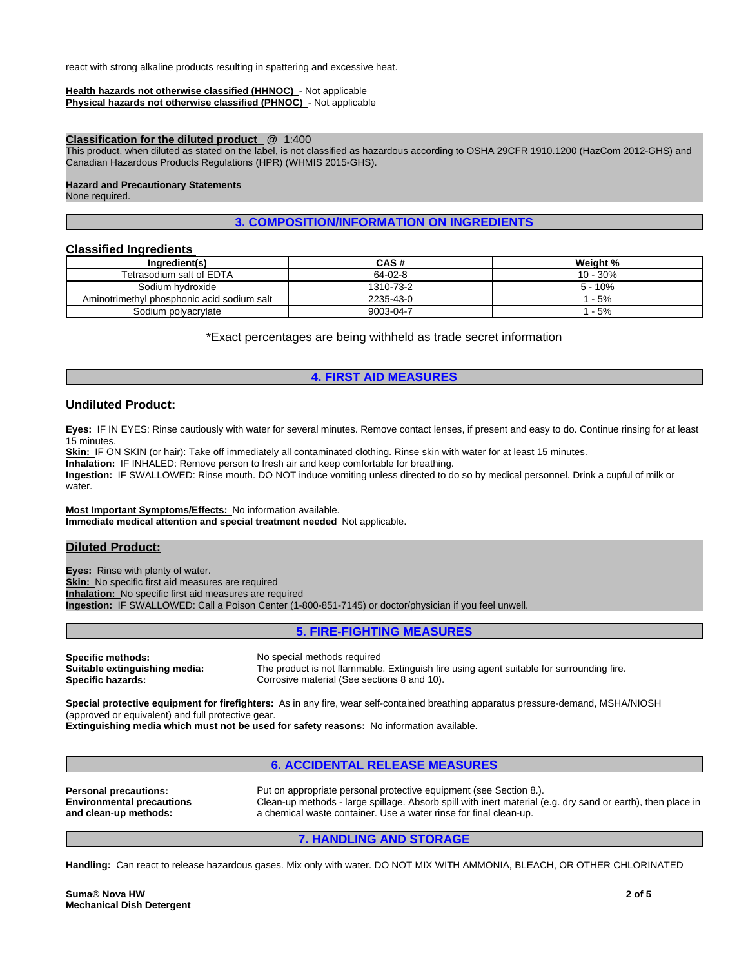react with strong alkaline products resulting in spattering and excessive heat.

#### **Health hazards not otherwise classified (HHNOC)** - Not applicable **Physical hazards not otherwise classified (PHNOC)** - Not applicable

#### **Classification for the diluted product** @ 1:400

This product, when diluted as stated on the label, is not classified as hazardous according to OSHA 29CFR 1910.1200 (HazCom 2012-GHS) and Canadian Hazardous Products Regulations (HPR) (WHMIS 2015-GHS).

## **Hazard and Precautionary Statements**

None required.

## **3. COMPOSITION/INFORMATION ON INGREDIENTS**

## **Classified Ingredients**

| Ingredient(s)                              | CAS#      | Weight %  |
|--------------------------------------------|-----------|-----------|
| Tetrasodium salt of EDTA                   | 64-02-8   | 10 - 30%  |
| Sodium hydroxide                           | 1310-73-2 | $5 - 10%$ |
| Aminotrimethyl phosphonic acid sodium salt | 2235-43-0 | $-5%$     |
| Sodium polyacrylate                        | 9003-04-7 | $-5%$     |

\*Exact percentages are being withheld as trade secret information

## **4. FIRST AID MEASURES**

### **Undiluted Product:**

**Eyes:** IF IN EYES: Rinse cautiously with water for several minutes. Remove contact lenses, if present and easy to do. Continue rinsing for at least 15 minutes.

Skin: IF ON SKIN (or hair): Take off immediately all contaminated clothing. Rinse skin with water for at least 15 minutes.

**Inhalation:** IF INHALED: Remove person to fresh air and keep comfortable for breathing.

**Ingestion:** IF SWALLOWED: Rinse mouth. DO NOT induce vomiting unless directed to do so by medical personnel. Drink a cupful of milk or water.

**Most Important Symptoms/Effects:** No information available. **Immediate medical attention and special treatment needed** Not applicable.

## **Diluted Product:**

**Eyes:** Rinse with plenty of water. **Skin:** No specific first aid measures are required **Inhalation:** No specific first aid measures are required **Ingestion:** IF SWALLOWED: Call a Poison Center (1-800-851-7145) or doctor/physician if you feel unwell.

## **5. FIRE-FIGHTING MEASURES**

**Specific methods:** No special methods required<br> **Suitable extinguishing media:** The product is not flammable **Suitable extinguishing media:** The product is not flammable. Extinguish fire using agent suitable for surrounding fire.<br> **Specific hazards:** Corrosive material (See sections 8 and 10). Corrosive material (See sections 8 and 10).

**Special protective equipment for firefighters:** As in any fire, wear self-contained breathing apparatus pressure-demand, MSHA/NIOSH (approved or equivalent) and full protective gear.

**Extinguishing media which must not be used for safety reasons:** No information available.

## **6. ACCIDENTAL RELEASE MEASURES**

**Personal precautions:** Put on appropriate personal protective equipment (see Section 8.). **Environmental precautions and clean-up methods:** Clean-up methods - large spillage. Absorb spill with inert material (e.g. dry sand or earth), then place in a chemical waste container. Use a water rinse for final clean-up.

## **7. HANDLING AND STORAGE**

**Handling:** Can react to release hazardous gases. Mix only with water. DO NOT MIX WITH AMMONIA, BLEACH, OR OTHER CHLORINATED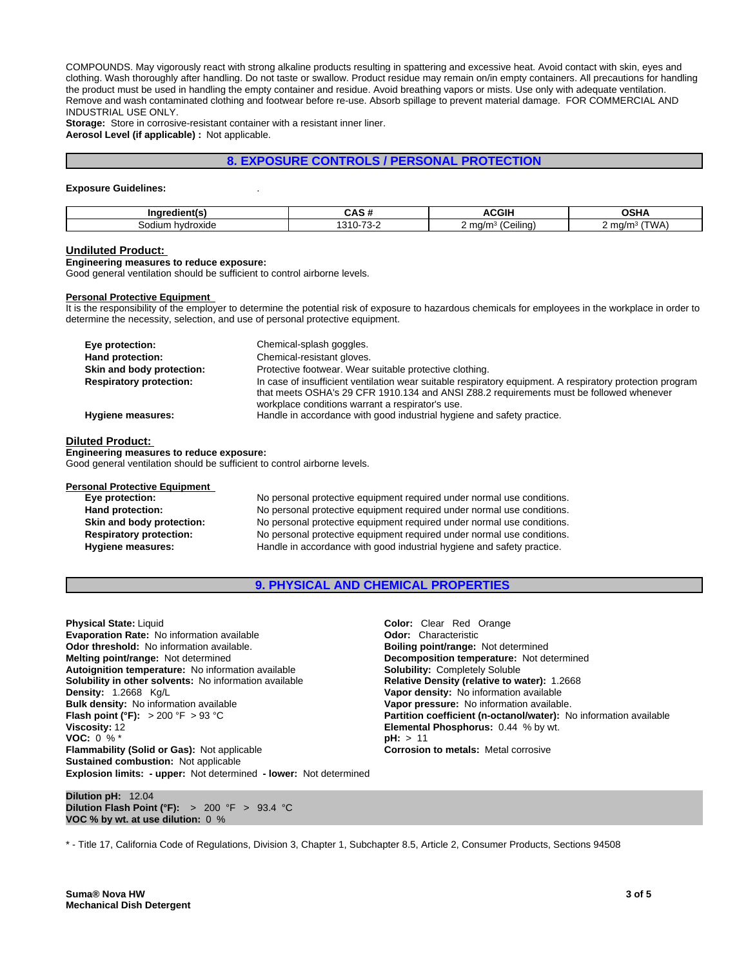COMPOUNDS. May vigorously react with strong alkaline products resulting in spattering and excessive heat. Avoid contact with skin, eyes and clothing. Wash thoroughly after handling. Do not taste or swallow. Product residue may remain on/in empty containers. All precautions for handling the product must be used in handling the empty container and residue. Avoid breathing vapors or mists. Use only with adequate ventilation. Remove and wash contaminated clothing and footwear before re-use. Absorb spillage to prevent material damage. FOR COMMERCIAL AND INDUSTRIAL USE ONLY.

**Storage:** Store in corrosive-resistant container with a resistant inner liner. **Aerosol Level (if applicable) :** Not applicable.

## **8. EXPOSURE CONTROLS / PERSONAL PROTECTION**

#### **Exposure Guidelines:** .

| Ingredient(s)      | . .<br>$-1$                       | 0.011<br>. .<br>uur                            | ៱៰៶៲៱<br>וחט                    |
|--------------------|-----------------------------------|------------------------------------------------|---------------------------------|
| hvdroxide<br>odium | $\rightarrow$<br>040<br>т.<br>. . | $\cdots$<br>$\epsilon$<br><br>ma/m-<br>Ceilina | "WA<br>∠ ma/m <sup>3</sup><br>. |

#### **Undiluted Product:**

**Engineering measures to reduce exposure:**

Good general ventilation should be sufficient to control airborne levels.

#### **Personal Protective Equipment**

It is the responsibility of the employer to determine the potential risk of exposure to hazardous chemicals for employees in the workplace in order to determine the necessity, selection, and use of personal protective equipment.

| Eye protection:                | Chemical-splash goggles.                                                                                                                                                                                                                                 |
|--------------------------------|----------------------------------------------------------------------------------------------------------------------------------------------------------------------------------------------------------------------------------------------------------|
| Hand protection:               | Chemical-resistant gloves.                                                                                                                                                                                                                               |
| Skin and body protection:      | Protective footwear. Wear suitable protective clothing.                                                                                                                                                                                                  |
| <b>Respiratory protection:</b> | In case of insufficient ventilation wear suitable respiratory equipment. A respiratory protection program<br>that meets OSHA's 29 CFR 1910.134 and ANSI Z88.2 requirements must be followed whenever<br>workplace conditions warrant a respirator's use. |
| Hygiene measures:              | Handle in accordance with good industrial hygiene and safety practice.                                                                                                                                                                                   |

#### **Diluted Product:**

**Engineering measures to reduce exposure:** Good general ventilation should be sufficient to control airborne levels.

# **Personal Protective Equipment**<br>Eye protection:

No personal protective equipment required under normal use conditions. **Hand protection:** No personal protective equipment required under normal use conditions. **Skin and body protection:** No personal protective equipment required under normal use conditions. **Respiratory protection:** No personal protective equipment required under normal use conditions. **Hygiene measures:** Handle in accordance with good industrial hygiene and safety practice.

#### **9. PHYSICAL AND CHEMICAL PROPERTIES**

**Explosion limits: - upper:** Not determined **- lower:** Not determined **Physical State:** Liquid **Color:** Clear Red Orange **Evaporation Rate:** No information available *Odor: Characteristic* **Odor: Characteristic Odor threshold:** No information available. **Boiling point/range: Not determined Melting point/range:** Not determined **Melting point/range:** Not determined **Autoignition temperature:** No information available **Solubility:** Completely Soluble **Solubility in other solvents: No information available Density:** 1.2668 Kg/L **Vapor density:** No information available **Bulk density:** No information available **Vapor pressure:** No information available. **Flash point (°F):**  $> 200$  °F  $> 93$  °C **Partition coefficient (n-octanol/water):** No information available **Viscosity:** 12 **Partition coefficient (n-octanol/water):** No information available **Viscosity:** 12 **VOC:** 0 % \* **pH:** > 11 **Flammability (Solid or Gas):** Not applicable **Corrosion to metals:** Metal corrosive **Sustained combustion:** Not applicable

**Decomposition temperature:** Not determined **Elemental Phosphorus:** 0.44 % by wt.

**Dilution pH:** 12.04 **Dilution Flash Point (°F):** > 200 °F > 93.4 °C **VOC % by wt. at use dilution:** 0 %

\* - Title 17, California Code of Regulations, Division 3, Chapter 1, Subchapter 8.5, Article 2, Consumer Products, Sections 94508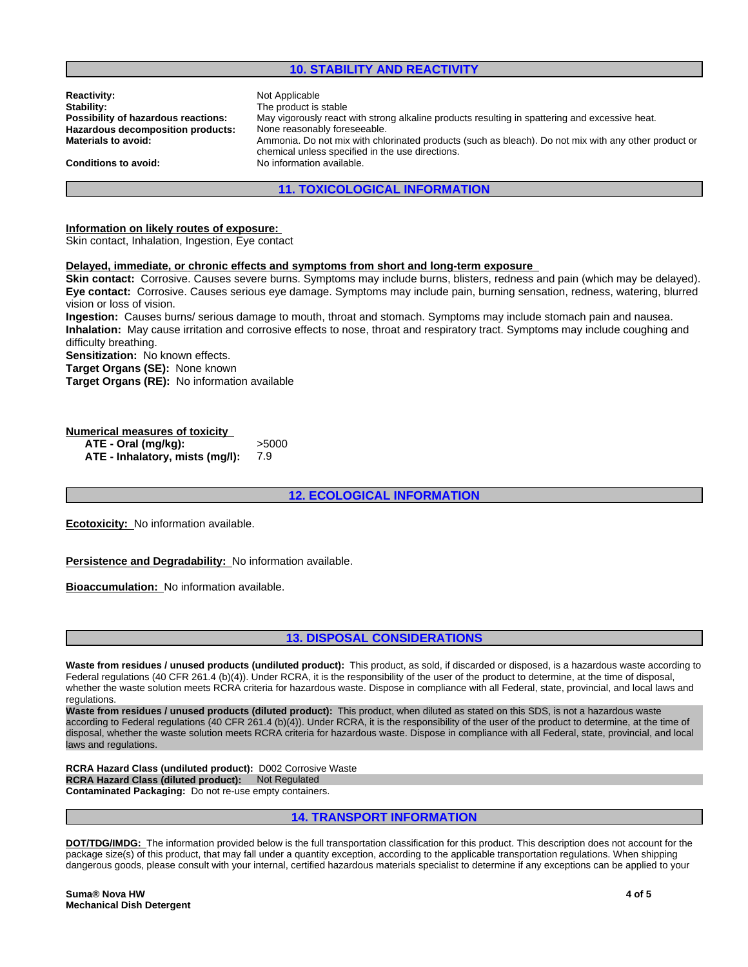## **10. STABILITY AND REACTIVITY**

| <b>Reactivity:</b>                  | Not Applicable                                                                                       |
|-------------------------------------|------------------------------------------------------------------------------------------------------|
| Stability:                          | The product is stable                                                                                |
| Possibility of hazardous reactions: | May vigorously react with strong alkaline products resulting in spattering and excessive heat.       |
| Hazardous decomposition products:   | None reasonably foreseeable.                                                                         |
| <b>Materials to avoid:</b>          | Ammonia. Do not mix with chlorinated products (such as bleach). Do not mix with any other product or |
|                                     | chemical unless specified in the use directions.                                                     |
| <b>Conditions to avoid:</b>         | No information available.                                                                            |
|                                     |                                                                                                      |

## **11. TOXICOLOGICAL INFORMATION**

#### **Information on likely routes of exposure:**

Skin contact, Inhalation, Ingestion, Eye contact

#### **Delayed, immediate, or chronic effects and symptoms from short and long-term exposure**

**Skin contact:** Corrosive. Causes severe burns. Symptoms may include burns, blisters, redness and pain (which may be delayed). **Eye contact:** Corrosive. Causes serious eye damage. Symptoms may include pain, burning sensation, redness, watering, blurred vision or loss of vision.

**Ingestion:** Causes burns/ serious damage to mouth, throat and stomach. Symptoms may include stomach pain and nausea. **Inhalation:** May cause irritation and corrosive effects to nose, throat and respiratory tract. Symptoms may include coughing and difficulty breathing.

**Sensitization:** No known effects.

**Target Organs (SE):** None known

**Target Organs (RE):** No information available

### **Numerical measures of toxicity**

**ATE - Oral (mg/kg):** >5000 **ATE - Inhalatory, mists (mg/l):** 7.9

## **12. ECOLOGICAL INFORMATION**

**Ecotoxicity:** No information available.

**Persistence and Degradability:** No information available.

**Bioaccumulation:** No information available.

## **13. DISPOSAL CONSIDERATIONS**

**Waste from residues / unused products (undiluted product):** This product, as sold, if discarded or disposed, is a hazardous waste according to Federal regulations (40 CFR 261.4 (b)(4)). Under RCRA, it is the responsibility of the user of the product to determine, at the time of disposal, whether the waste solution meets RCRA criteria for hazardous waste. Dispose in compliance with all Federal, state, provincial, and local laws and regulations.

**Waste from residues / unused products (diluted product):** This product, when diluted as stated on this SDS, is not a hazardous waste according to Federal regulations (40 CFR 261.4 (b)(4)). Under RCRA, it is the responsibility of the user of the product to determine, at the time of disposal, whether the waste solution meets RCRA criteria for hazardous waste. Dispose in compliance with all Federal, state, provincial, and local laws and regulations.

**RCRA Hazard Class (undiluted product):** D002 Corrosive Waste **RCRA Hazard Class (diluted product): Not Regulated Contaminated Packaging:** Do not re-use empty containers.

## **14. TRANSPORT INFORMATION**

**DOT/TDG/IMDG:** The information provided below is the full transportation classification for this product. This description does not account for the package size(s) of this product, that may fall under a quantity exception, according to the applicable transportation regulations. When shipping dangerous goods, please consult with your internal, certified hazardous materials specialist to determine if any exceptions can be applied to your